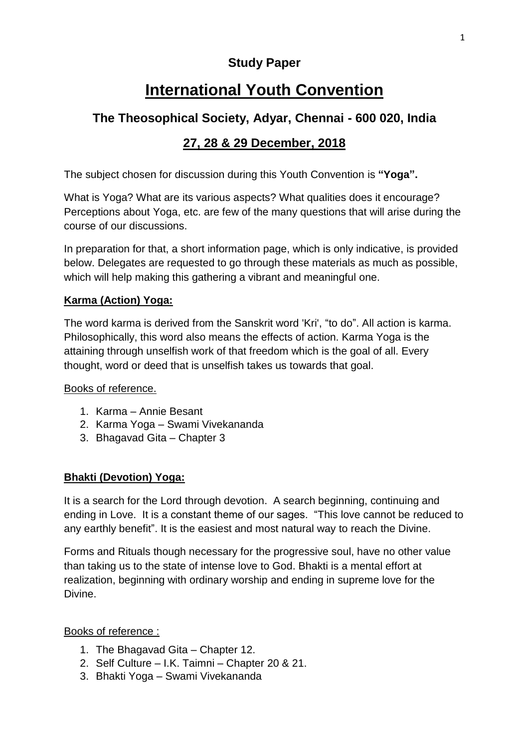# **Study Paper**

# **International Youth Convention**

# **The Theosophical Society, Adyar, Chennai - 600 020, India**

# **27, 28 & 29 December, 2018**

The subject chosen for discussion during this Youth Convention is **"Yoga".**

What is Yoga? What are its various aspects? What qualities does it encourage? Perceptions about Yoga, etc. are few of the many questions that will arise during the course of our discussions.

In preparation for that, a short information page, which is only indicative, is provided below. Delegates are requested to go through these materials as much as possible, which will help making this gathering a vibrant and meaningful one.

## **Karma (Action) Yoga:**

The word karma is derived from the Sanskrit word 'Kri', "to do". All action is karma. Philosophically, this word also means the effects of action. Karma Yoga is the attaining through unselfish work of that freedom which is the goal of all. Every thought, word or deed that is unselfish takes us towards that goal.

## Books of reference.

- 1. Karma Annie Besant
- 2. Karma Yoga Swami Vivekananda
- 3. Bhagavad Gita Chapter 3

## **Bhakti (Devotion) Yoga:**

It is a search for the Lord through devotion. A search beginning, continuing and ending in Love. It is a constant theme of our sages. "This love cannot be reduced to any earthly benefit". It is the easiest and most natural way to reach the Divine.

Forms and Rituals though necessary for the progressive soul, have no other value than taking us to the state of intense love to God. Bhakti is a mental effort at realization, beginning with ordinary worship and ending in supreme love for the Divine.

## Books of reference :

- 1. The Bhagavad Gita Chapter 12.
- 2. Self Culture I.K. Taimni Chapter 20 & 21.
- 3. Bhakti Yoga Swami Vivekananda